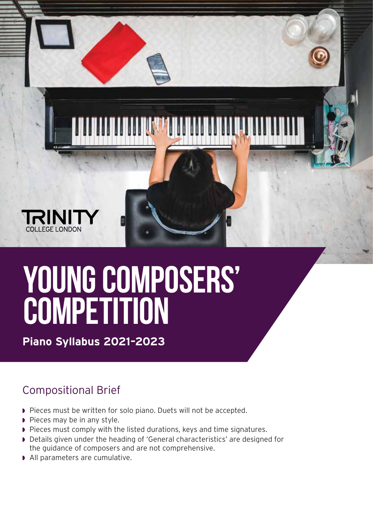

## **YOUNG COMPOSERS' COMPETITION**

**Piano Syllabus 2021–2023**

## Compositional Brief

- ◗ Pieces must be written for solo piano. Duets will not be accepted.
- ◗ Pieces may be in any style.
- ◗ Pieces must comply with the listed durations, keys and time signatures.
- ◗ Details given under the heading of 'General characteristics' are designed for the guidance of composers and are not comprehensive.
- ◗ All parameters are cumulative.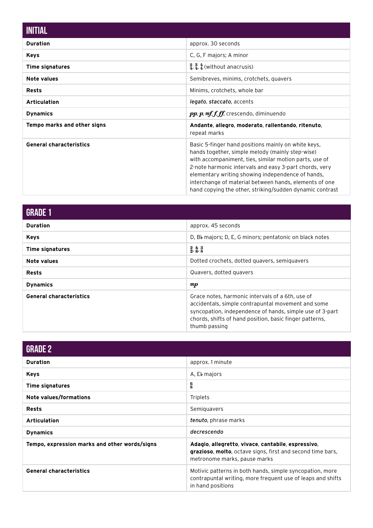| <b>INITIAL</b>                     |                                                                                                                                                                                                                                                                                                                                                                                                        |
|------------------------------------|--------------------------------------------------------------------------------------------------------------------------------------------------------------------------------------------------------------------------------------------------------------------------------------------------------------------------------------------------------------------------------------------------------|
| <b>Duration</b>                    | approx. 30 seconds                                                                                                                                                                                                                                                                                                                                                                                     |
| <b>Keys</b>                        | C, G, F majors; A minor                                                                                                                                                                                                                                                                                                                                                                                |
| <b>Time signatures</b>             | $\frac{2}{4}$ , $\frac{3}{4}$ , $\frac{4}{4}$ (without anacrusis)                                                                                                                                                                                                                                                                                                                                      |
| <b>Note values</b>                 | Semibreves, minims, crotchets, quavers                                                                                                                                                                                                                                                                                                                                                                 |
| <b>Rests</b>                       | Minims, crotchets, whole bar                                                                                                                                                                                                                                                                                                                                                                           |
| <b>Articulation</b>                | legato, staccato, accents                                                                                                                                                                                                                                                                                                                                                                              |
| <b>Dynamics</b>                    | $pp$ , $p$ , $mf.f.f.f.$ crescendo, diminuendo                                                                                                                                                                                                                                                                                                                                                         |
| <b>Tempo marks and other signs</b> | Andante, allegro, moderato, rallentando, ritenuto,<br>repeat marks                                                                                                                                                                                                                                                                                                                                     |
| <b>General characteristics</b>     | Basic 5-finger hand positions mainly on white keys,<br>hands together, simple melody (mainly step-wise)<br>with accompaniment, ties, similar motion parts, use of<br>2-note harmonic intervals and easy 3-part chords, very<br>elementary writing showing independence of hands,<br>interchange of material between hands, elements of one<br>hand copying the other, striking/sudden dynamic contrast |

| <b>GRADE 1</b>                 |                                                                                                                                                                                                                                                |
|--------------------------------|------------------------------------------------------------------------------------------------------------------------------------------------------------------------------------------------------------------------------------------------|
| <b>Duration</b>                | approx. 45 seconds                                                                                                                                                                                                                             |
| <b>Keys</b>                    | D, Bb majors; D, E, G minors; pentatonic on black notes                                                                                                                                                                                        |
| <b>Time signatures</b>         | $\begin{smallmatrix} 2 & 4 & 3 \\ 2 & 8 & 8 \end{smallmatrix}$                                                                                                                                                                                 |
| Note values                    | Dotted crochets, dotted quavers, semiguavers                                                                                                                                                                                                   |
| <b>Rests</b>                   | Quavers, dotted quavers                                                                                                                                                                                                                        |
| <b>Dynamics</b>                | $\boldsymbol{m} \boldsymbol{p}$                                                                                                                                                                                                                |
| <b>General characteristics</b> | Grace notes, harmonic intervals of a 6th, use of<br>accidentals, simple contrapuntal movement and some<br>syncopation, independence of hands, simple use of 3-part<br>chords, shifts of hand position, basic finger patterns,<br>thumb passing |

| <b>GRADE 2</b>                                |                                                                                                                                                         |
|-----------------------------------------------|---------------------------------------------------------------------------------------------------------------------------------------------------------|
| <b>Duration</b>                               | approx. 1 minute                                                                                                                                        |
| <b>Keys</b>                                   | A, Eb majors                                                                                                                                            |
| <b>Time signatures</b>                        | $\frac{6}{8}$                                                                                                                                           |
| Note values/formations                        | Triplets                                                                                                                                                |
| <b>Rests</b>                                  | Semiguavers                                                                                                                                             |
| <b>Articulation</b>                           | tenuto, phrase marks                                                                                                                                    |
| <b>Dynamics</b>                               | decrescendo                                                                                                                                             |
| Tempo, expression marks and other words/signs | Adagio, allegretto, vivace, cantabile, espressivo,<br><b>grazioso, molto,</b> octave signs, first and second time bars,<br>metronome marks, pause marks |
| <b>General characteristics</b>                | Motivic patterns in both hands, simple syncopation, more<br>contrapuntal writing, more frequent use of leaps and shifts<br>in hand positions            |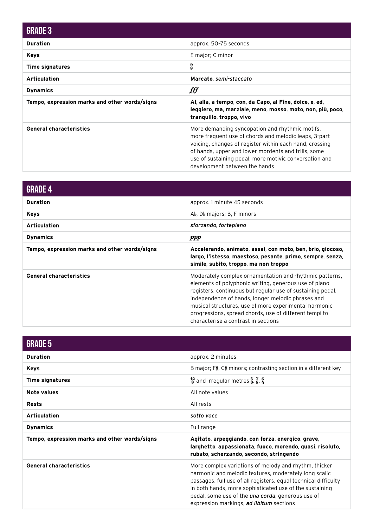| <b>GRADE 3</b>                                |                                                                                                                                                                                                                                                                                                                       |
|-----------------------------------------------|-----------------------------------------------------------------------------------------------------------------------------------------------------------------------------------------------------------------------------------------------------------------------------------------------------------------------|
| <b>Duration</b>                               | approx. 50-75 seconds                                                                                                                                                                                                                                                                                                 |
| <b>Keys</b>                                   | E major; C minor                                                                                                                                                                                                                                                                                                      |
| <b>Time signatures</b>                        | $\frac{9}{8}$                                                                                                                                                                                                                                                                                                         |
| <b>Articulation</b>                           | Marcato, semi-staccato                                                                                                                                                                                                                                                                                                |
| <b>Dynamics</b>                               | fff                                                                                                                                                                                                                                                                                                                   |
| Tempo, expression marks and other words/signs | Al, alla, a tempo, con, da Capo, al Fine, dolce, e, ed,<br>leggiero, ma, marziale, meno, mosso, moto, non, più, poco,<br>tranguillo, troppo, vivo                                                                                                                                                                     |
| <b>General characteristics</b>                | More demanding syncopation and rhythmic motifs,<br>more frequent use of chords and melodic leaps, 3-part<br>voicing, changes of register within each hand, crossing<br>of hands, upper and lower mordents and trills, some<br>use of sustaining pedal, more motivic conversation and<br>development between the hands |

| <b>GRADE 4</b>                                |                                                                                                                                                                                                                                                                                                                                                                                               |
|-----------------------------------------------|-----------------------------------------------------------------------------------------------------------------------------------------------------------------------------------------------------------------------------------------------------------------------------------------------------------------------------------------------------------------------------------------------|
| <b>Duration</b>                               | approx. 1 minute 45 seconds                                                                                                                                                                                                                                                                                                                                                                   |
| <b>Keys</b>                                   | Ab, Db majors; B, F minors                                                                                                                                                                                                                                                                                                                                                                    |
| <b>Articulation</b>                           | sforzando, fortepiano                                                                                                                                                                                                                                                                                                                                                                         |
| <b>Dynamics</b>                               | <i>ppp</i>                                                                                                                                                                                                                                                                                                                                                                                    |
| Tempo, expression marks and other words/signs | Accelerando, animato, assai, con moto, ben, brio, giocoso,<br>largo, l'istesso, maestoso, pesante, primo, sempre, senza,<br>simile, subito, troppo, ma non troppo                                                                                                                                                                                                                             |
| <b>General characteristics</b>                | Moderately complex ornamentation and rhythmic patterns,<br>elements of polyphonic writing, generous use of piano<br>registers, continuous but regular use of sustaining pedal,<br>independence of hands, longer melodic phrases and<br>musical structures, use of more experimental harmonic<br>progressions, spread chords, use of different tempi to<br>characterise a contrast in sections |

| <b>GRADE 5</b>                                |                                                                                                                                                                                                                                                                                                                                                       |
|-----------------------------------------------|-------------------------------------------------------------------------------------------------------------------------------------------------------------------------------------------------------------------------------------------------------------------------------------------------------------------------------------------------------|
| <b>Duration</b>                               | approx. 2 minutes                                                                                                                                                                                                                                                                                                                                     |
| <b>Keys</b>                                   | B major; F#, C# minors; contrasting section in a different key                                                                                                                                                                                                                                                                                        |
| <b>Time signatures</b>                        | $\frac{12}{8}$ and irregular metres $\frac{5}{8}$ , $\frac{7}{8}$ , $\frac{5}{4}$                                                                                                                                                                                                                                                                     |
| Note values                                   | All note values                                                                                                                                                                                                                                                                                                                                       |
| <b>Rests</b>                                  | All rests                                                                                                                                                                                                                                                                                                                                             |
| <b>Articulation</b>                           | sotto voce                                                                                                                                                                                                                                                                                                                                            |
| <b>Dynamics</b>                               | Full range                                                                                                                                                                                                                                                                                                                                            |
| Tempo, expression marks and other words/signs | Agitato, arpeggiando, con forza, energico, grave,<br>larghetto, appassionata, fuoco, morendo, quasi, risoluto,<br>rubato, scherzando, secondo, stringendo                                                                                                                                                                                             |
| <b>General characteristics</b>                | More complex variations of melody and rhythm, thicker<br>harmonic and melodic textures, moderately long scalic<br>passages, full use of all registers, equal technical difficulty<br>in both hands, more sophisticated use of the sustaining<br>pedal, some use of the <i>una corda</i> , generous use of<br>expression markings, ad libitum sections |